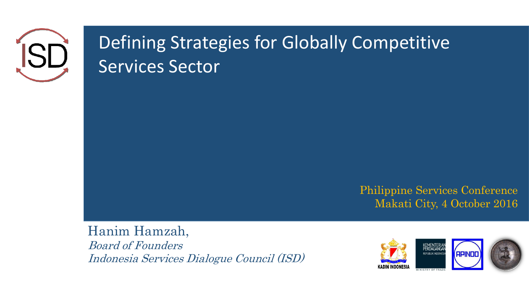

## Defining Strategies for Globally Competitive Services Sector

Philippine Services Conference Makati City, 4 October 2016

#### Hanim Hamzah,

Board of Founders Indonesia Services Dialogue Council (ISD)

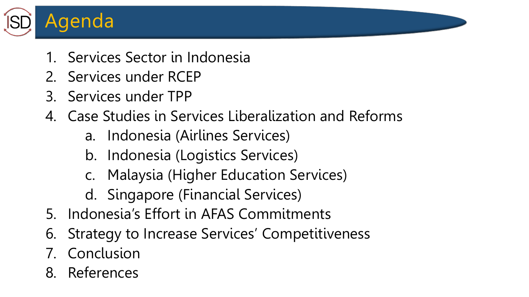

- 1. Services Sector in Indonesia
- 2. Services under RCEP
- 3. Services under TPP
- 4. Case Studies in Services Liberalization and Reforms
	- a. Indonesia (Airlines Services)
	- b. Indonesia (Logistics Services)
	- c. Malaysia (Higher Education Services)
	- d. Singapore (Financial Services)
- 5. Indonesia's Effort in AFAS Commitments
- 6. Strategy to Increase Services' Competitiveness
- 7. Conclusion
- 8. References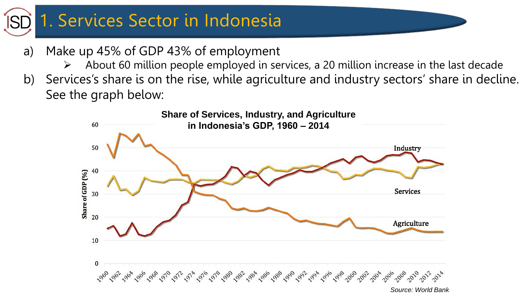## 1. Services Sector in Indonesia

- a) Make up 45% of GDP 43% of employment
	- $\triangleright$  About 60 million people employed in services, a 20 million increase in the last decade
- b) Services's share is on the rise, while agriculture and industry sectors' share in decline. See the graph below:

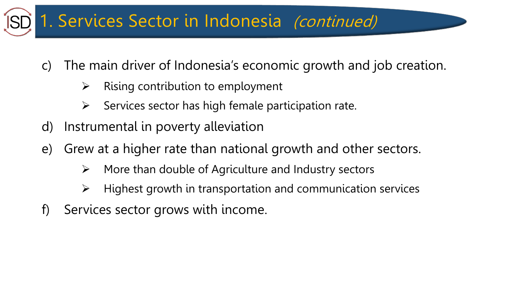# 1. Services Sector in Indonesia (continued)

- c) The main driver of Indonesia's economic growth and job creation.
	- $\triangleright$  Rising contribution to employment
	- $\triangleright$  Services sector has high female participation rate.
- d) Instrumental in poverty alleviation
- e) Grew at a higher rate than national growth and other sectors.
	- $\triangleright$  More than double of Agriculture and Industry sectors
	- $\triangleright$  Highest growth in transportation and communication services
- f) Services sector grows with income.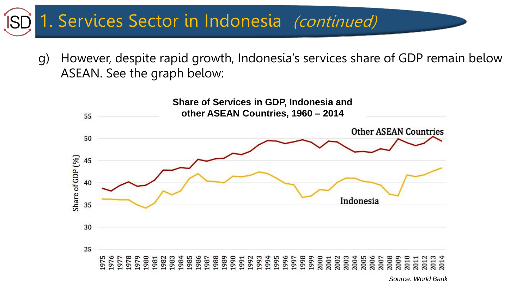# 1. Services Sector in Indonesia (continued)

g) However, despite rapid growth, Indonesia's services share of GDP remain below ASEAN. See the graph below:

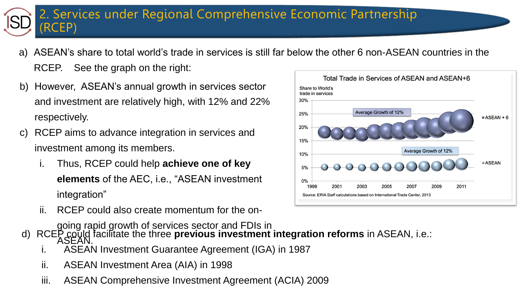#### 2. Services under Regional Comprehensive Economic Partnership (RCEP)

- a) ASEAN's share to total world's trade in services is still far below the other 6 non-ASEAN countries in the RCEP. See the graph on the right:
- b) However, ASEAN's annual growth in services sector and investment are relatively high, with 12% and 22% respectively.
- c) RCEP aims to advance integration in services and investment among its members.
	- i. Thus, RCEP could help **achieve one of key elements** of the AEC, i.e., "ASEAN investment integration"
	- ii. RCEP could also create momentum for the on-

going rapid growth of services sector and FDIs in

- d) RCEP could facilitate the three **previous investment integration reforms** in ASEAN, i.e.:<br>ASEAN,
	- i. ASEAN Investment Guarantee Agreement (IGA) in 1987
	- ii. ASEAN Investment Area (AIA) in 1998
	- iii. ASEAN Comprehensive Investment Agreement (ACIA) 2009

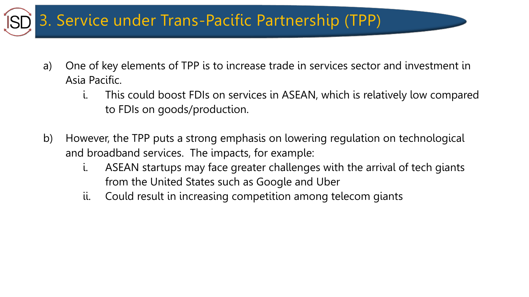

- a) One of key elements of TPP is to increase trade in services sector and investment in Asia Pacific.
	- i. This could boost FDIs on services in ASEAN, which is relatively low compared to FDIs on goods/production.
- b) However, the TPP puts a strong emphasis on lowering regulation on technological and broadband services. The impacts, for example:
	- i. ASEAN startups may face greater challenges with the arrival of tech giants from the United States such as Google and Uber
	- ii. Could result in increasing competition among telecom giants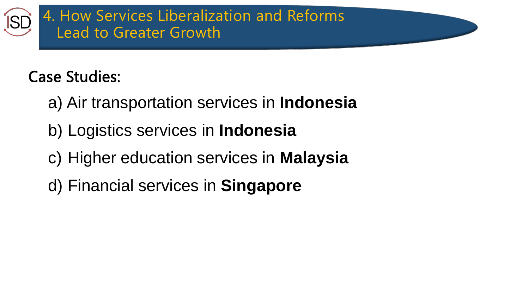

### Case Studies:

- a) Air transportation services in **Indonesia**
- b) Logistics services in **Indonesia**
- c) Higher education services in **Malaysia**
- d) Financial services in **Singapore**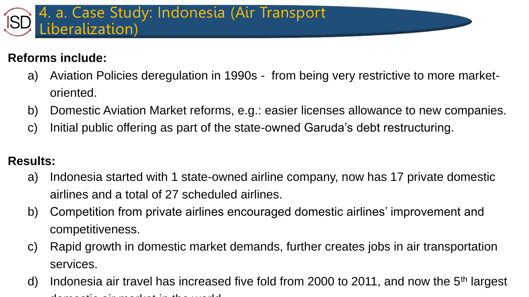### 4. a. Case Study: Indonesia (Air Transport Liberalization)

#### **Reforms include:**

- a) Aviation Policies deregulation in 1990s from being very restrictive to more marketoriented.
- b) Domestic Aviation Market reforms, e.g.: easier licenses allowance to new companies.
- c) Initial public offering as part of the state-owned Garuda's debt restructuring.

#### **Results:**

- a) Indonesia started with 1 state-owned airline company, now has 17 private domestic airlines and a total of 27 scheduled airlines.
- b) Competition from private airlines encouraged domestic airlines' improvement and competitiveness.
- c) Rapid growth in domestic market demands, further creates jobs in air transportation services.
- d) Indonesia air travel has increased five fold from 2000 to 2011, and now the  $5<sup>th</sup>$  largest domestic air market in the world and world and world and world and world and world and world and world and world and world and world and world and world and world and world and world and world and world and world and world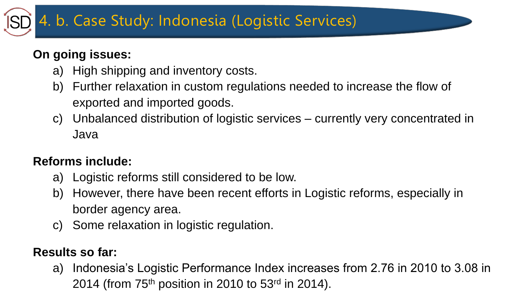## 4. b. Case Study: Indonesia (Logistic Services)

#### **On going issues:**

- a) High shipping and inventory costs.
- b) Further relaxation in custom regulations needed to increase the flow of exported and imported goods.
- c) Unbalanced distribution of logistic services currently very concentrated in Java

#### **Reforms include:**

- a) Logistic reforms still considered to be low.
- b) However, there have been recent efforts in Logistic reforms, especially in border agency area.
- c) Some relaxation in logistic regulation.

#### **Results so far:**

a) Indonesia's Logistic Performance Index increases from 2.76 in 2010 to 3.08 in 2014 (from  $75<sup>th</sup>$  position in 2010 to  $53<sup>rd</sup>$  in 2014).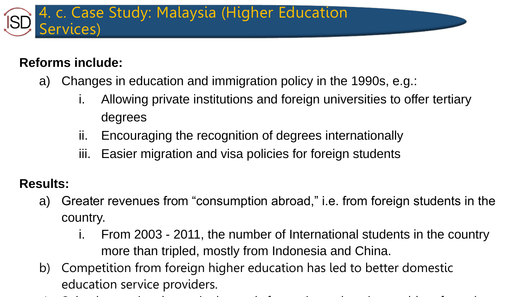### 4. c. Case Study: Malaysia (Higher Education Services)

#### **Reforms include:**

- a) Changes in education and immigration policy in the 1990s, e.g.:
	- i. Allowing private institutions and foreign universities to offer tertiary degrees
	- ii. Encouraging the recognition of degrees internationally
	- iii. Easier migration and visa policies for foreign students

#### **Results:**

- a) Greater revenues from "consumption abroad," i.e. from foreign students in the country.
	- i. From 2003 2011, the number of International students in the country more than tripled, mostly from Indonesia and China.
- b) Competition from foreign higher education has led to better domestic education service providers.
- c) Solved excessive domestic demands for tertiary education problem from the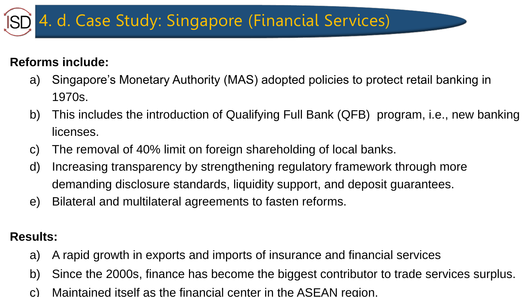## 4. d. Case Study: Singapore (Financial Services)

#### **Reforms include:**

- a) Singapore's Monetary Authority (MAS) adopted policies to protect retail banking in 1970s.
- b) This includes the introduction of Qualifying Full Bank (QFB) program, i.e., new banking licenses.
- c) The removal of 40% limit on foreign shareholding of local banks.
- d) Increasing transparency by strengthening regulatory framework through more demanding disclosure standards, liquidity support, and deposit guarantees.
- e) Bilateral and multilateral agreements to fasten reforms.

#### **Results:**

- a) A rapid growth in exports and imports of insurance and financial services
- b) Since the 2000s, finance has become the biggest contributor to trade services surplus.
- c) Maintained itself as the financial center in the ASEAN region.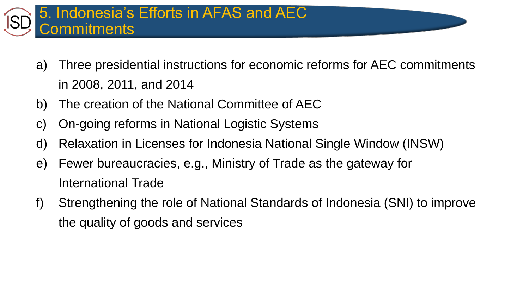### 5. Indonesia's Efforts in AFAS and AEC **Commitments**

- a) Three presidential instructions for economic reforms for AEC commitments in 2008, 2011, and 2014
- b) The creation of the National Committee of AEC
- c) On-going reforms in National Logistic Systems
- d) Relaxation in Licenses for Indonesia National Single Window (INSW)
- e) Fewer bureaucracies, e.g., Ministry of Trade as the gateway for International Trade
- f) Strengthening the role of National Standards of Indonesia (SNI) to improve the quality of goods and services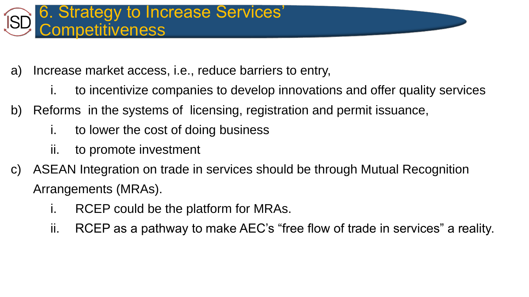- a) Increase market access, i.e., reduce barriers to entry,
	- i. to incentivize companies to develop innovations and offer quality services
- b) Reforms in the systems of licensing, registration and permit issuance,
	- i. to lower the cost of doing business
	- ii. to promote investment
- c) ASEAN Integration on trade in services should be through Mutual Recognition Arrangements (MRAs).
	- i. RCEP could be the platform for MRAs.
	- ii. RCEP as a pathway to make AEC's "free flow of trade in services" a reality.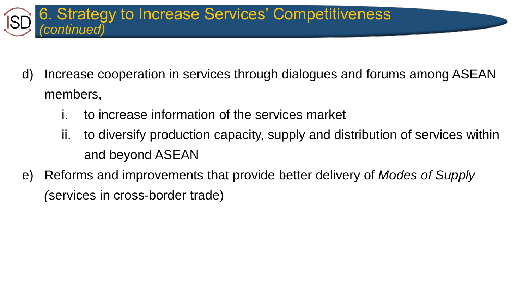

- d) Increase cooperation in services through dialogues and forums among ASEAN members,
	- to increase information of the services market
	- ii. to diversify production capacity, supply and distribution of services within and beyond ASEAN
- e) Reforms and improvements that provide better delivery of *Modes of Supply (*services in cross-border trade)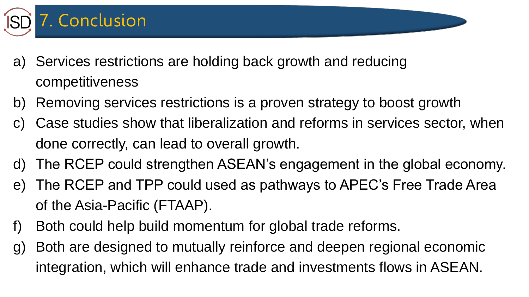

- a) Services restrictions are holding back growth and reducing competitiveness
- b) Removing services restrictions is a proven strategy to boost growth
- c) Case studies show that liberalization and reforms in services sector, when done correctly, can lead to overall growth.
- d) The RCEP could strengthen ASEAN's engagement in the global economy.
- e) The RCEP and TPP could used as pathways to APEC's Free Trade Area of the Asia-Pacific (FTAAP).
- f) Both could help build momentum for global trade reforms.
- g) Both are designed to mutually reinforce and deepen regional economic integration, which will enhance trade and investments flows in ASEAN.